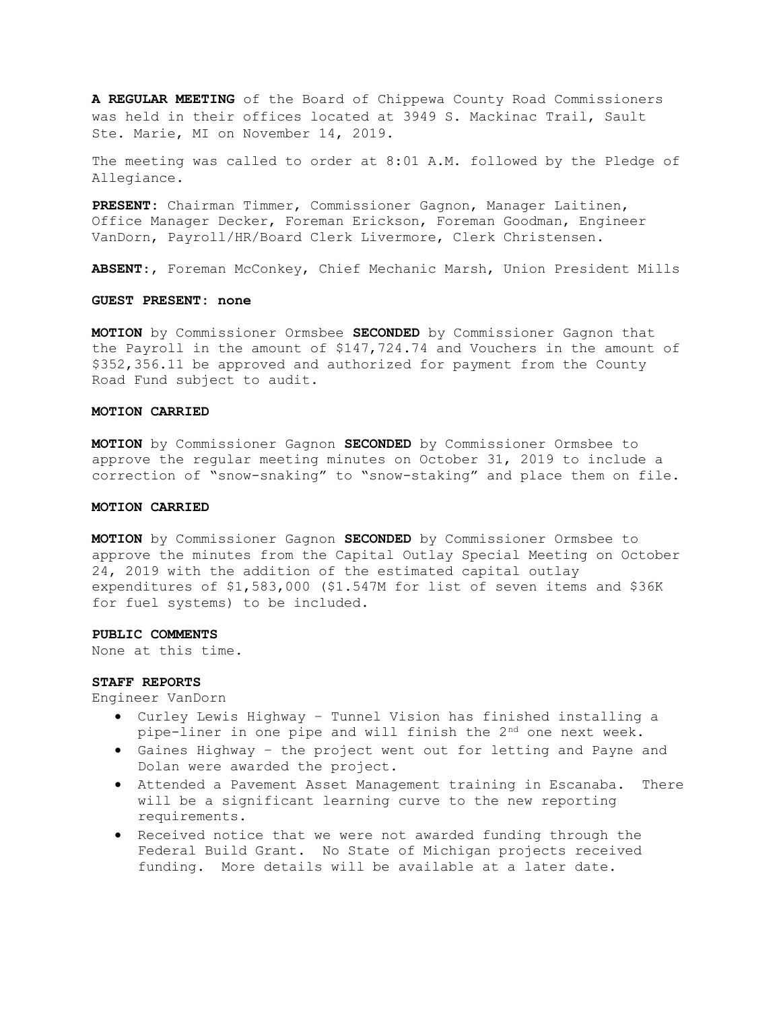A REGULAR MEETING of the Board of Chippewa County Road Commissioners was held in their offices located at 3949 S. Mackinac Trail, Sault Ste. Marie, MI on November 14, 2019.

The meeting was called to order at 8:01 A.M. followed by the Pledge of Allegiance.

PRESENT: Chairman Timmer, Commissioner Gagnon, Manager Laitinen, Office Manager Decker, Foreman Erickson, Foreman Goodman, Engineer VanDorn, Payroll/HR/Board Clerk Livermore, Clerk Christensen.

ABSENT:, Foreman McConkey, Chief Mechanic Marsh, Union President Mills

## GUEST PRESENT: none

MOTION by Commissioner Ormsbee SECONDED by Commissioner Gagnon that the Payroll in the amount of \$147,724.74 and Vouchers in the amount of \$352,356.11 be approved and authorized for payment from the County Road Fund subject to audit.

### MOTION CARRIED

MOTION by Commissioner Gagnon SECONDED by Commissioner Ormsbee to approve the regular meeting minutes on October 31, 2019 to include a correction of "snow-snaking" to "snow-staking" and place them on file.

### MOTION CARRIED

MOTION by Commissioner Gagnon SECONDED by Commissioner Ormsbee to approve the minutes from the Capital Outlay Special Meeting on October 24, 2019 with the addition of the estimated capital outlay expenditures of \$1,583,000 (\$1.547M for list of seven items and \$36K for fuel systems) to be included.

### PUBLIC COMMENTS

None at this time.

### STAFF REPORTS

Engineer VanDorn

- Curley Lewis Highway Tunnel Vision has finished installing a pipe-liner in one pipe and will finish the  $2^{nd}$  one next week.
- Gaines Highway the project went out for letting and Payne and Dolan were awarded the project.
- Attended a Pavement Asset Management training in Escanaba. There will be a significant learning curve to the new reporting requirements.
- Received notice that we were not awarded funding through the Federal Build Grant. No State of Michigan projects received funding. More details will be available at a later date.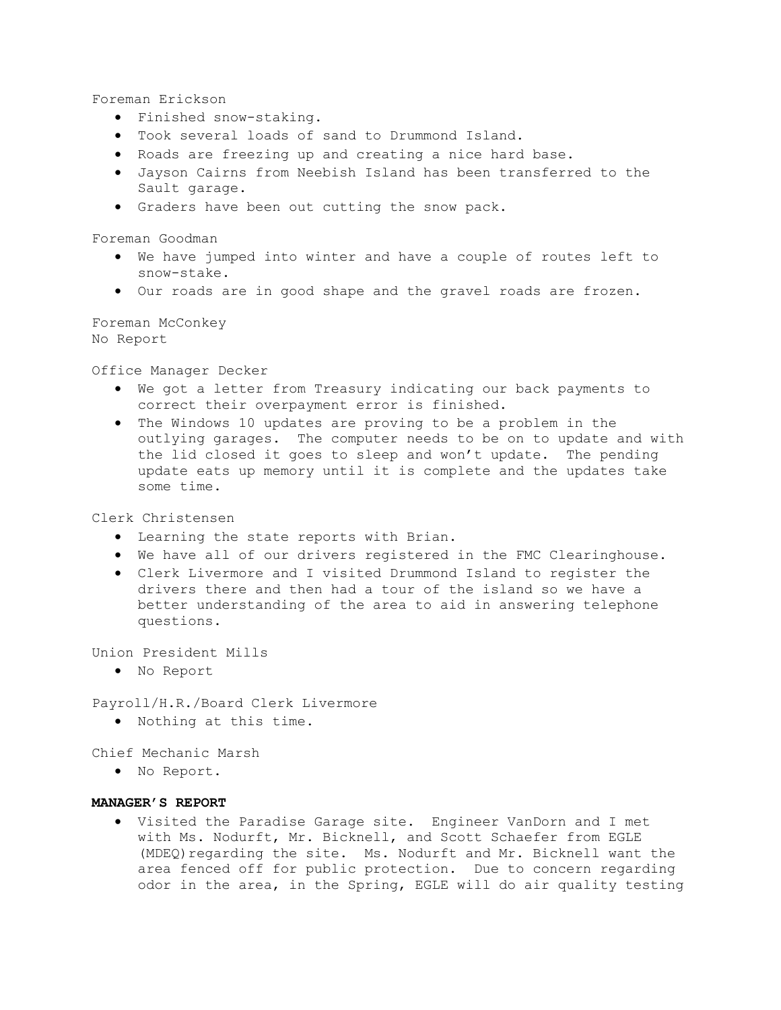Foreman Erickson

- Finished snow-staking.
- Took several loads of sand to Drummond Island.
- Roads are freezing up and creating a nice hard base.
- Jayson Cairns from Neebish Island has been transferred to the Sault garage.
- Graders have been out cutting the snow pack.

Foreman Goodman

- We have jumped into winter and have a couple of routes left to snow-stake.
- Our roads are in good shape and the gravel roads are frozen.

Foreman McConkey No Report

Office Manager Decker

- We got a letter from Treasury indicating our back payments to correct their overpayment error is finished.
- The Windows 10 updates are proving to be a problem in the outlying garages. The computer needs to be on to update and with the lid closed it goes to sleep and won't update. The pending update eats up memory until it is complete and the updates take some time.

Clerk Christensen

- Learning the state reports with Brian.
- We have all of our drivers registered in the FMC Clearinghouse.
- Clerk Livermore and I visited Drummond Island to register the drivers there and then had a tour of the island so we have a better understanding of the area to aid in answering telephone questions.

Union President Mills

No Report

Payroll/H.R./Board Clerk Livermore

Nothing at this time.

Chief Mechanic Marsh

No Report.

# MANAGER'S REPORT

 Visited the Paradise Garage site. Engineer VanDorn and I met with Ms. Nodurft, Mr. Bicknell, and Scott Schaefer from EGLE (MDEQ) regarding the site. Ms. Nodurft and Mr. Bicknell want the area fenced off for public protection. Due to concern regarding odor in the area, in the Spring, EGLE will do air quality testing